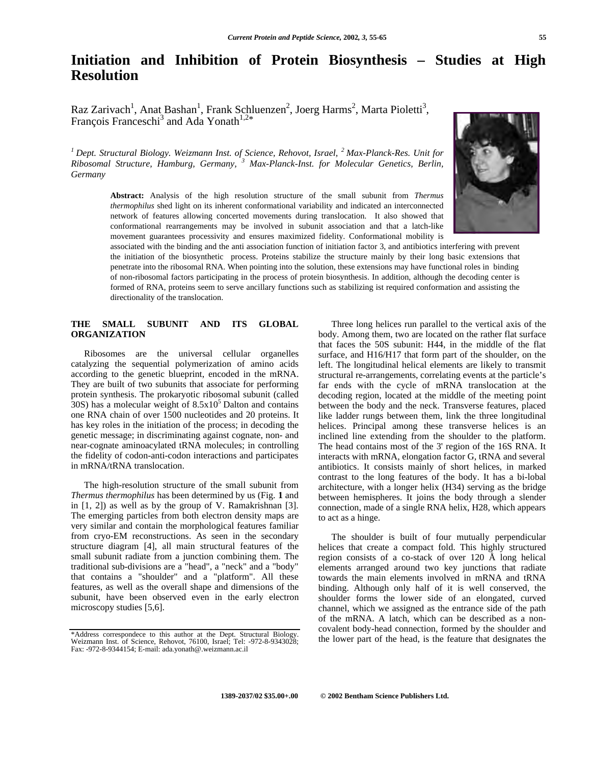# **Initiation and Inhibition of Protein Biosynthesis – Studies at High Resolution**

Raz Zarivach<sup>1</sup>, Anat Bashan<sup>1</sup>, Frank Schluenzen<sup>2</sup>, Joerg Harms<sup>2</sup>, Marta Pioletti<sup>3</sup>, François Franceschi<sup>3</sup> and Ada Yonath<sup>1,2\*</sup>

*1 Dept. Structural Biology. Weizmann Inst. of Science, Rehovot, Israel, 2 Max-Planck-Res. Unit for Ribosomal Structure, Hamburg, Germany, <sup>3</sup> Max-Planck-Inst. for Molecular Genetics, Berlin, Germany*

> **Abstract:** Analysis of the high resolution structure of the small subunit from *Thermus thermophilus* shed light on its inherent conformational variability and indicated an interconnected network of features allowing concerted movements during translocation. It also showed that conformational rearrangements may be involved in subunit association and that a latch-like movement guarantees processivity and ensures maximized fidelity. Conformational mobility is

associated with the binding and the anti association function of initiation factor 3, and antibiotics interfering with prevent the initiation of the biosynthetic process. Proteins stabilize the structure mainly by their long basic extensions that penetrate into the ribosomal RNA. When pointing into the solution, these extensions may have functional roles in binding of non-ribosomal factors participating in the process of protein biosynthesis. In addition, although the decoding center is formed of RNA, proteins seem to serve ancillary functions such as stabilizing ist required conformation and assisting the directionality of the translocation.

#### **THE SMALL SUBUNIT AND ITS GLOBAL ORGANIZATION**

Ribosomes are the universal cellular organelles catalyzing the sequential polymerization of amino acids according to the genetic blueprint, encoded in the mRNA. They are built of two subunits that associate for performing protein synthesis. The prokaryotic ribosomal subunit (called  $30S$ ) has a molecular weight of  $8.5x10<sup>5</sup>$  Dalton and contains one RNA chain of over 1500 nucleotides and 20 proteins. It has key roles in the initiation of the process; in decoding the genetic message; in discriminating against cognate, non- and near-cognate aminoacylated tRNA molecules; in controlling the fidelity of codon-anti-codon interactions and participates in mRNA/tRNA translocation.

The high-resolution structure of the small subunit from *Thermus thermophilus* has been determined by us (Fig. **1** and in [1, 2]) as well as by the group of V. Ramakrishnan [3]. The emerging particles from both electron density maps are very similar and contain the morphological features familiar from cryo-EM reconstructions. As seen in the secondary structure diagram [4], all main structural features of the small subunit radiate from a junction combining them. The traditional sub-divisions are a "head", a "neck" and a "body" that contains a "shoulder" and a "platform". All these features, as well as the overall shape and dimensions of the subunit, have been observed even in the early electron microscopy studies [5,6].

Three long helices run parallel to the vertical axis of the body. Among them, two are located on the rather flat surface that faces the 50S subunit: H44, in the middle of the flat surface, and H16/H17 that form part of the shoulder, on the left. The longitudinal helical elements are likely to transmit structural re-arrangements, correlating events at the particle's far ends with the cycle of mRNA translocation at the decoding region, located at the middle of the meeting point between the body and the neck. Transverse features, placed like ladder rungs between them, link the three longitudinal helices. Principal among these transverse helices is an inclined line extending from the shoulder to the platform. The head contains most of the 3' region of the 16S RNA. It interacts with mRNA, elongation factor G, tRNA and several antibiotics. It consists mainly of short helices, in marked contrast to the long features of the body. It has a bi-lobal architecture, with a longer helix (H34) serving as the bridge between hemispheres. It joins the body through a slender connection, made of a single RNA helix, H28, which appears to act as a hinge.

The shoulder is built of four mutually perpendicular helices that create a compact fold. This highly structured region consists of a co-stack of over 120 Å long helical elements arranged around two key junctions that radiate towards the main elements involved in mRNA and tRNA binding. Although only half of it is well conserved, the shoulder forms the lower side of an elongated, curved channel, which we assigned as the entrance side of the path of the mRNA. A latch, which can be described as a noncovalent body-head connection, formed by the shoulder and the lower part of the head, is the feature that designates the



<sup>\*</sup>Address correspondece to this author at the Dept. Structural Biology. Weizmann Inst. of Science, Rehovot, 76100, Israel; Tel: -972-8-9343028; Fax: -972-8-9344154; E-mail: ada.yonath@.weizmann.ac.il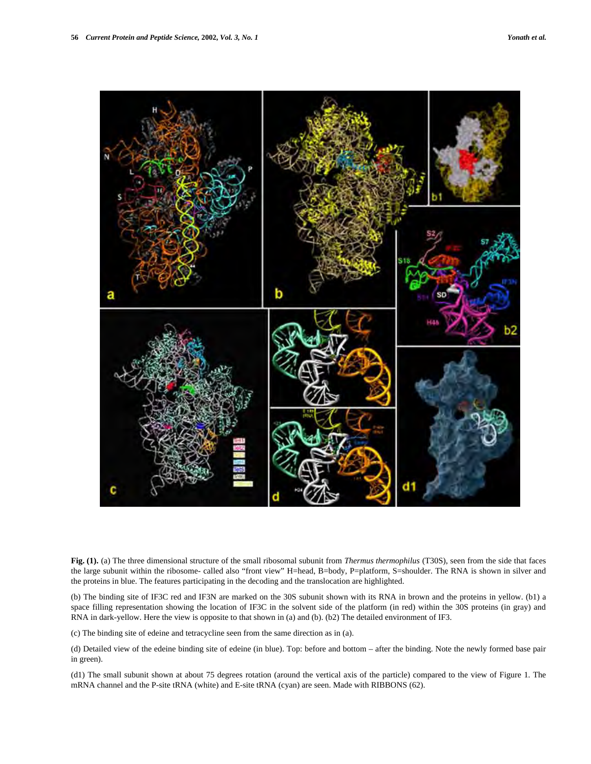

**Fig. (1).** (a) The three dimensional structure of the small ribosomal subunit from *Thermus thermophilus* (T30S), seen from the side that faces the large subunit within the ribosome- called also "front view" H=head, B=body, P=platform, S=shoulder. The RNA is shown in silver and the proteins in blue. The features participating in the decoding and the translocation are highlighted.

(b) The binding site of IF3C red and IF3N are marked on the 30S subunit shown with its RNA in brown and the proteins in yellow. (b1) a space filling representation showing the location of IF3C in the solvent side of the platform (in red) within the 30S proteins (in gray) and RNA in dark-yellow. Here the view is opposite to that shown in (a) and (b). (b2) The detailed environment of IF3.

(c) The binding site of edeine and tetracycline seen from the same direction as in (a).

(d) Detailed view of the edeine binding site of edeine (in blue). Top: before and bottom – after the binding. Note the newly formed base pair in green).

(d1) The small subunit shown at about 75 degrees rotation (around the vertical axis of the particle) compared to the view of Figure 1. The mRNA channel and the P-site tRNA (white) and E-site tRNA (cyan) are seen. Made with RIBBONS (62).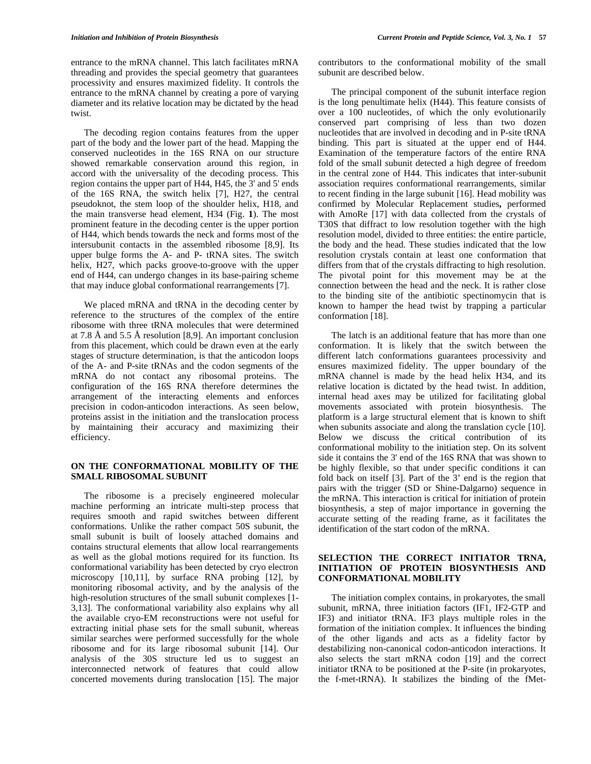entrance to the mRNA channel. This latch facilitates mRNA threading and provides the special geometry that guarantees processivity and ensures maximized fidelity. It controls the entrance to the mRNA channel by creating a pore of varying diameter and its relative location may be dictated by the head twist.

The decoding region contains features from the upper part of the body and the lower part of the head. Mapping the conserved nucleotides in the 16S RNA on our structure showed remarkable conservation around this region, in accord with the universality of the decoding process. This region contains the upper part of H44, H45, the 3' and 5' ends of the 16S RNA, the switch helix [7], H27, the central pseudoknot, the stem loop of the shoulder helix, H18, and the main transverse head element, H34 (Fig. **1**). The most prominent feature in the decoding center is the upper portion of H44, which bends towards the neck and forms most of the intersubunit contacts in the assembled ribosome [8,9]. Its upper bulge forms the A- and P- tRNA sites. The switch helix, H27, which packs groove-to-groove with the upper end of H44, can undergo changes in its base-pairing scheme that may induce global conformational rearrangements [7].

We placed mRNA and tRNA in the decoding center by reference to the structures of the complex of the entire ribosome with three tRNA molecules that were determined at 7.8 Å and 5.5 Å resolution [8,9]. An important conclusion from this placement, which could be drawn even at the early stages of structure determination, is that the anticodon loops of the A- and P-site tRNAs and the codon segments of the mRNA do not contact any ribosomal proteins. The configuration of the 16S RNA therefore determines the arrangement of the interacting elements and enforces precision in codon-anticodon interactions. As seen below, proteins assist in the initiation and the translocation process by maintaining their accuracy and maximizing their efficiency.

#### **ON THE CONFORMATIONAL MOBILITY OF THE SMALL RIBOSOMAL SUBUNIT**

The ribosome is a precisely engineered molecular machine performing an intricate multi-step process that requires smooth and rapid switches between different conformations. Unlike the rather compact 50S subunit, the small subunit is built of loosely attached domains and contains structural elements that allow local rearrangements as well as the global motions required for its function. Its conformational variability has been detected by cryo electron microscopy [10,11], by surface RNA probing [12], by monitoring ribosomal activity, and by the analysis of the high-resolution structures of the small subunit complexes [1- 3,13]. The conformational variability also explains why all the available cryo-EM reconstructions were not useful for extracting initial phase sets for the small subunit, whereas similar searches were performed successfully for the whole ribosome and for its large ribosomal subunit [14]. Our analysis of the 30S structure led us to suggest an interconnected network of features that could allow concerted movements during translocation [15]. The major

contributors to the conformational mobility of the small subunit are described below.

The principal component of the subunit interface region is the long penultimate helix (H44). This feature consists of over a 100 nucleotides, of which the only evolutionarily conserved part comprising of less than two dozen nucleotides that are involved in decoding and in P-site tRNA binding. This part is situated at the upper end of H44. Examination of the temperature factors of the entire RNA fold of the small subunit detected a high degree of freedom in the central zone of H44. This indicates that inter-subunit association requires conformational rearrangements, similar to recent finding in the large subunit  $[16]$ . Head mobility was confirmed by Molecular Replacement studies, performed with AmoRe [17] with data collected from the crystals of T30S that diffract to low resolution together with the high resolution model, divided to three entities: the entire particle, the body and the head. These studies indicated that the low resolution crystals contain at least one conformation that differs from that of the crystals diffracting to high resolution. The pivotal point for this movement may be at the connection between the head and the neck. It is rather close to the binding site of the antibiotic spectinomycin that is known to hamper the head twist by trapping a particular conformation [18].

The latch is an additional feature that has more than one conformation. It is likely that the switch between the different latch conformations guarantees processivity and ensures maximized fidelity. The upper boundary of the mRNA channel is made by the head helix H34, and its relative location is dictated by the head twist. In addition, internal head axes may be utilized for facilitating global movements associated with protein biosynthesis. The platform is a large structural element that is known to shift when subunits associate and along the translation cycle [10]. Below we discuss the critical contribution of its conformational mobility to the initiation step. On its solvent side it contains the 3' end of the 16S RNA that was shown to be highly flexible, so that under specific conditions it can fold back on itself [3]. Part of the 3' end is the region that pairs with the trigger (SD or Shine-Dalgarno) sequence in the mRNA. This interaction is critical for initiation of protein biosynthesis, a step of major importance in governing the accurate setting of the reading frame, as it facilitates the identification of the start codon of the mRNA.

# **SELECTION THE CORRECT INITIATOR TRNA, INITIATION OF PROTEIN BIOSYNTHESIS AND CONFORMATIONAL MOBILITY**

The initiation complex contains, in prokaryotes, the small subunit, mRNA, three initiation factors (IF1, IF2-GTP and IF3) and initiator tRNA. IF3 plays multiple roles in the formation of the initiation complex. It influences the binding of the other ligands and acts as a fidelity factor by destabilizing non-canonical codon-anticodon interactions. It also selects the start mRNA codon [19] and the correct initiator tRNA to be positioned at the P-site (in prokaryotes, the f-met-tRNA). It stabilizes the binding of the fMet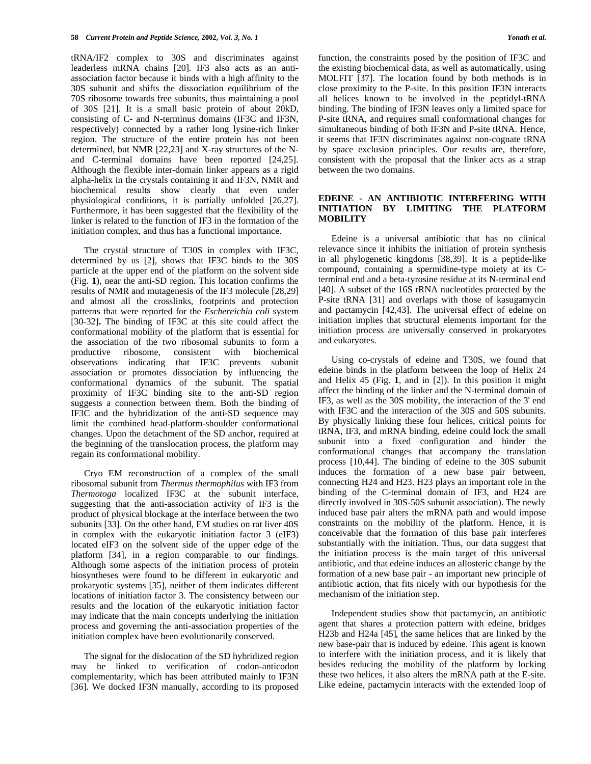tRNA/IF2 complex to 30S and discriminates against leaderless mRNA chains [20]. IF3 also acts as an antiassociation factor because it binds with a high affinity to the 30S subunit and shifts the dissociation equilibrium of the 70S ribosome towards free subunits, thus maintaining a pool of 30S [21]. It is a small basic protein of about 20kD, consisting of C- and N-terminus domains (IF3C and IF3N, respectively) connected by a rather long lysine-rich linker region. The structure of the entire protein has not been determined, but NMR [22,23] and X-ray structures of the Nand C-terminal domains have been reported [24,25]. Although the flexible inter-domain linker appears as a rigid alpha-helix in the crystals containing it and IF3N, NMR and biochemical results show clearly that even under physiological conditions, it is partially unfolded [26,27]. Furthermore, it has been suggested that the flexibility of the linker is related to the function of IF3 in the formation of the initiation complex, and thus has a functional importance.

The crystal structure of T30S in complex with IF3C, determined by us [2], shows that IF3C binds to the 30S particle at the upper end of the platform on the solvent side (Fig. **1**), near the anti-SD region. This location confirms the results of NMR and mutagenesis of the IF3 molecule [28,29] and almost all the crosslinks, footprints and protection patterns that were reported for the *Eschereichia coli* system [30-32]**.** The binding of IF3C at this site could affect the conformational mobility of the platform that is essential for the association of the two ribosomal subunits to form a productive ribosome, consistent with biochemical ribosome, consistent with observations indicating that IF3C prevents subunit association or promotes dissociation by influencing the conformational dynamics of the subunit. The spatial proximity of IF3C binding site to the anti-SD region suggests a connection between them. Both the binding of IF3C and the hybridization of the anti-SD sequence may limit the combined head-platform-shoulder conformational changes. Upon the detachment of the SD anchor, required at the beginning of the translocation process, the platform may regain its conformational mobility.

Cryo EM reconstruction of a complex of the small ribosomal subunit from *Thermus thermophilus* with IF3 from *Thermotoga* localized IF3C at the subunit interface, suggesting that the anti-association activity of IF3 is the product of physical blockage at the interface between the two subunits [33]. On the other hand, EM studies on rat liver 40S in complex with the eukaryotic initiation factor 3 (eIF3) located eIF3 on the solvent side of the upper edge of the platform [34], in a region comparable to our findings. Although some aspects of the initiation process of protein biosyntheses were found to be different in eukaryotic and prokaryotic systems [35], neither of them indicates different locations of initiation factor 3. The consistency between our results and the location of the eukaryotic initiation factor may indicate that the main concepts underlying the initiation process and governing the anti-association properties of the initiation complex have been evolutionarily conserved.

The signal for the dislocation of the SD hybridized region may be linked to verification of codon-anticodon complementarity, which has been attributed mainly to IF3N [36]. We docked IF3N manually, according to its proposed

function, the constraints posed by the position of IF3C and the existing biochemical data, as well as automatically, using MOLFIT [37]. The location found by both methods is in close proximity to the P-site. In this position IF3N interacts all helices known to be involved in the peptidyl-tRNA binding. The binding of IF3N leaves only a limited space for P-site tRNA, and requires small conformational changes for simultaneous binding of both IF3N and P-site tRNA. Hence, it seems that IF3N discriminates against non-cognate tRNA by space exclusion principles. Our results are, therefore, consistent with the proposal that the linker acts as a strap between the two domains.

#### **EDEINE - AN ANTIBIOTIC INTERFERING WITH INITIATION BY LIMITING THE PLATFORM MOBILITY**

Edeine is a universal antibiotic that has no clinical relevance since it inhibits the initiation of protein synthesis in all phylogenetic kingdoms [38,39]. It is a peptide-like compound, containing a spermidine-type moiety at its Cterminal end and a beta-tyrosine residue at its N-terminal end [40]. A subset of the 16S rRNA nucleotides protected by the P-site tRNA [31] and overlaps with those of kasugamycin and pactamycin [42,43]. The universal effect of edeine on initiation implies that structural elements important for the initiation process are universally conserved in prokaryotes and eukaryotes.

Using co-crystals of edeine and T30S, we found that edeine binds in the platform between the loop of Helix 24 and Helix 45 (Fig. **1**, and in [2]). In this position it might affect the binding of the linker and the N-terminal domain of IF3, as well as the 30S mobility, the interaction of the 3' end with IF3C and the interaction of the 30S and 50S subunits. By physically linking these four helices, critical points for tRNA, IF3, and mRNA binding, edeine could lock the small subunit into a fixed configuration and hinder the conformational changes that accompany the translation process [10,44]. The binding of edeine to the 30S subunit induces the formation of a new base pair between, connecting H24 and H23. H23 plays an important role in the binding of the C-terminal domain of IF3, and H24 are directly involved in 30S-50S subunit association). The newly induced base pair alters the mRNA path and would impose constraints on the mobility of the platform. Hence, it is conceivable that the formation of this base pair interferes substantially with the initiation. Thus, our data suggest that the initiation process is the main target of this universal antibiotic, and that edeine induces an allosteric change by the formation of a new base pair - an important new principle of antibiotic action, that fits nicely with our hypothesis for the mechanism of the initiation step.

Independent studies show that pactamycin, an antibiotic agent that shares a protection pattern with edeine, bridges H23b and H24a [45], the same helices that are linked by the new base-pair that is induced by edeine. This agent is known to interfere with the initiation process, and it is likely that besides reducing the mobility of the platform by locking these two helices, it also alters the mRNA path at the E-site. Like edeine, pactamycin interacts with the extended loop of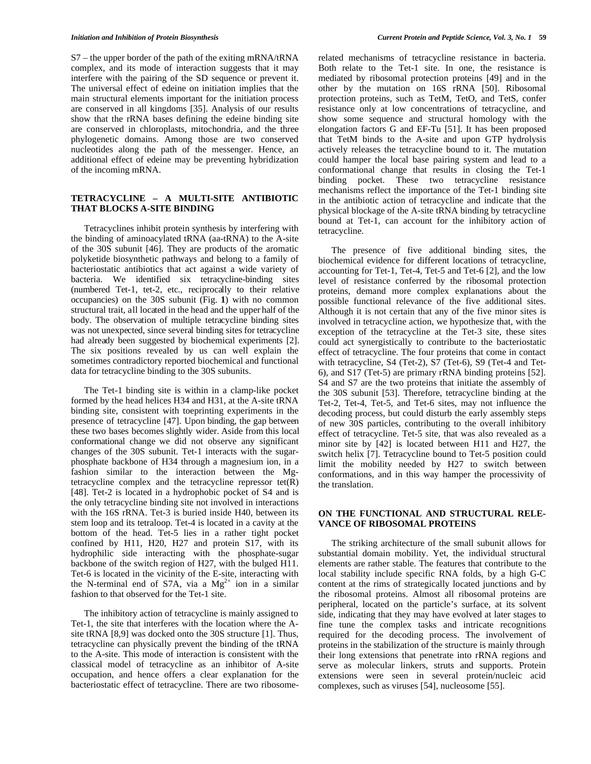S7 – the upper border of the path of the exiting mRNA/tRNA complex, and its mode of interaction suggests that it may interfere with the pairing of the SD sequence or prevent it. The universal effect of edeine on initiation implies that the main structural elements important for the initiation process are conserved in all kingdoms [35]. Analysis of our results show that the rRNA bases defining the edeine binding site are conserved in chloroplasts, mitochondria, and the three phylogenetic domains. Among those are two conserved nucleotides along the path of the messenger. Hence, an additional effect of edeine may be preventing hybridization of the incoming mRNA.

### **TETRACYCLINE – A MULTI-SITE ANTIBIOTIC THAT BLOCKS A-SITE BINDING**

Tetracyclines inhibit protein synthesis by interfering with the binding of aminoacylated tRNA (aa-tRNA) to the A-site of the 30S subunit [46]. They are products of the aromatic polyketide biosynthetic pathways and belong to a family of bacteriostatic antibiotics that act against a wide variety of bacteria. We identified six tetracycline-binding sites (numbered Tet-1, tet-2, etc., reciprocally to their relative oc cupancies) on the 30S subunit (Fig. **1**) with no common structural trait, all located in the head and the upper half of the body. The observation of multiple tetracycline binding sites was not unexpected, since several binding sites for tetracycline had already been suggested by biochemical experiments [2]. The six positions revealed by us can well explain the sometimes contradictory reported biochemical and functional data for tetracycline binding to the 30S subunits.

The Tet-1 binding site is within in a clamp-like pocket formed by the head helices H34 and H31, at the A-site tRNA binding site, consistent with toeprinting experiments in the presence of tetracycline [47]. Upon binding, the gap between these two bases becomes slightly wider. Aside from this local conformational change we did not observe any significant changes of the 30S subunit. Tet-1 interacts with the sugarphosphate backbone of H34 through a magnesium ion, in a fashion similar to the interaction between the Mgtetracycline complex and the tetracycline repressor  $tet(\overline{R})$ [48]. Tet-2 is located in a hydrophobic pocket of S4 and is the only tetracycline binding site not involved in interactions with the 16S rRNA. Tet-3 is buried inside H40, between its stem loop and its tetraloop. Tet-4 is located in a cavity at the bottom of the head. Tet-5 lies in a rather tight pocket confined by H11, H20, H27 and protein S17, with its hydrophilic side interacting with the phosphate-sugar backbone of the switch region of H27, with the bulged H11. Tet-6 is located in the vicinity of the E-site, interacting with the N-terminal end of S7A, via a  $Mg^{2+}$  ion in a similar fashion to that observed for the Tet-1 site.

The inhibitory action of tetracycline is mainly assigned to Tet-1, the site that interferes with the location where the Asite tRNA [8,9] was docked onto the 30S structure [1]. Thus, tetracycline can physically prevent the binding of the tRNA to the A-site. This mode of interaction is consistent with the classical model of tetracycline as an inhibitor of A-site occupation, and hence offers a clear explanation for the bacteriostatic effect of tetracycline. There are two ribosomerelated mechanisms of tetracycline resistance in bacteria. Both relate to the Tet-1 site. In one, the resistance is mediated by ribosomal protection proteins [49] and in the other by the mutation on 16S rRNA [50]. Ribosomal protection proteins, such as TetM, TetO, and TetS, confer resistance only at low concentrations of tetracycline, and show some sequence and structural homology with the elongation factors G and EF-Tu [51]. It has been proposed that TetM binds to the A-site and upon GTP hydrolysis actively releases the tetracycline bound to it. The mutation could hamper the local base pairing system and lead to a conformational change that results in closing the Tet-1 binding pocket. These two tetracycline resistance mechanisms reflect the importance of the Tet-1 binding site in the antibiotic action of tetracycline and indicate that the physical blockage of the A-site tRNA binding by tetracycline bound at Tet-1, can account for the inhibitory action of tetracycline.

The presence of five additional binding sites, the biochemical evidence for different locations of tetracycline, accounting for Tet-1, Tet-4, Tet-5 and Tet-6 [2], and the low level of resistance conferred by the ribosomal protection proteins, demand more complex explanations about the possible functional relevance of the five additional sites. Although it is not certain that any of the five minor sites is involved in tetracycline action, we hypothesize that, with the exception of the tetracycline at the Tet-3 site, these sites could act synergistically to contribute to the bacteriostatic effect of tetracycline. The four proteins that come in contact with tetracycline, S4 (Tet-2),  $S\bar{7}$  (Tet-6), S9 (Tet-4 and Tet-6), and S17 (Tet-5) are primary rRNA binding proteins [52]. S4 and S7 are the two proteins that initiate the assembly of the 30S subunit [53]. Therefore, tetracycline binding at the Tet-2, Tet-4, Tet-5, and Tet-6 sites, may not influence the decoding process, but could disturb the early assembly steps of new 30S particles, contributing to the overall inhibitory effect of tetracycline. Tet-5 site, that was also revealed as a minor site by [42] is located between H11 and H27, the switch helix [7]. Tetracycline bound to Tet-5 position could limit the mobility needed by H27 to switch between conformations, and in this way hamper the processivity of the translation.

#### **ON THE FUNCTIONAL AND STRUCTURAL RELE-VANCE OF RIBOSOMAL PROTEINS**

The striking architecture of the small subunit allows for substantial domain mobility. Yet, the individual structural elements are rather stable. The features that contribute to the local stability include specific RNA folds, by a high G-C content at the rims of strategically located junctions and by the ribosomal proteins. Almost all ribosomal proteins are peripheral, located on the particle's surface, at its solvent side, indicating that they may have evolved at later stages to fine tune the complex tasks and intricate recognitions required for the decoding process. The involvement of proteins in the stabilization of the structure is mainly through their long extensions that penetrate into rRNA regions and serve as molecular linkers, struts and supports. Protein extensions were seen in several protein/nucleic acid complexes, such as viruses [54], nucleosome [55].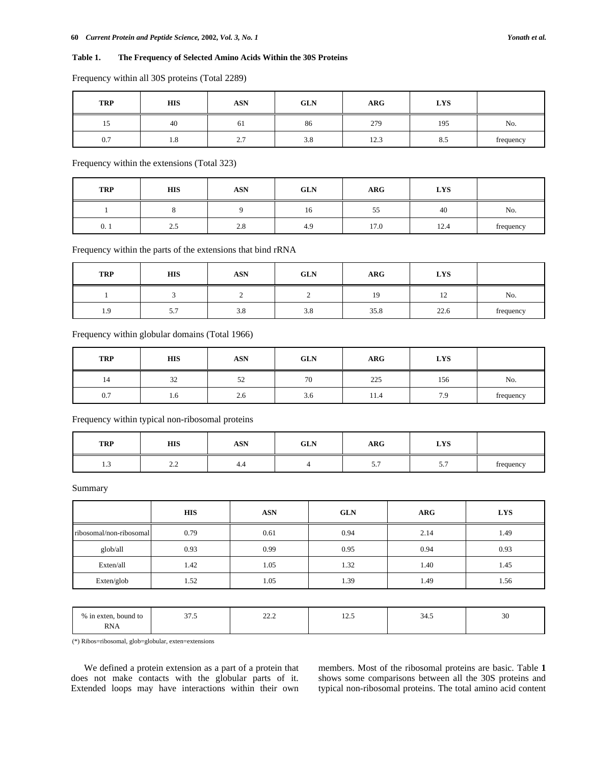# **Table 1. The Frequency of Selected Amino Acids Within the 30S Proteins**

| <b>TRP</b> | HIS | <b>ASN</b>             | <b>GLN</b> | <b>ARG</b>              | <b>LYS</b> |           |
|------------|-----|------------------------|------------|-------------------------|------------|-----------|
| 15         | 40  | 61                     | 86         | 279                     | 195        | No.       |
| 0.7        | 1.8 | $\sim$ $\sim$<br>، ، ، | 3.8        | 10 <sub>2</sub><br>12.5 | 8.5        | frequency |

Frequency within all 30S proteins (Total 2289)

Frequency within the extensions (Total 323)

| <b>TRP</b> | <b>HIS</b> | <b>ASN</b> | <b>GLN</b> | <b>ARG</b> | <b>LYS</b> |           |
|------------|------------|------------|------------|------------|------------|-----------|
|            |            |            | 16         | 55         | 40         | No.       |
| 0.1        | 2.5        | 2.8        | 4.9        | 17.0       | 12.4       | frequency |

Frequency within the parts of the extensions that bind rRNA

| <b>TRP</b> | <b>HIS</b> | <b>ASN</b> | <b>GLN</b> | <b>ARG</b> | <b>LYS</b>                       |           |
|------------|------------|------------|------------|------------|----------------------------------|-----------|
|            |            |            |            | 19         | 1 <sub>2</sub><br>$\overline{1}$ | No.       |
| 1.9        | 5.7        | 3.8        | 3.8        | 35.8       | 22.6                             | frequency |

Frequency within globular domains (Total 1966)

| <b>TRP</b> | <b>HIS</b> | <b>ASN</b>    | <b>GLN</b> | <b>ARG</b> | <b>LYS</b> |           |
|------------|------------|---------------|------------|------------|------------|-----------|
| 14         | 32         | 50<br>ے د     | 70         | 225        | 156        | No.       |
| 0.7        | 1.0        | $\sim$<br>2.6 | 3.6        | 11.4       | 7.9        | frequency |

Frequency within typical non-ribosomal proteins

| <b>TRP</b> | <b>HIS</b>                                | <b>ASN</b> | <b>GLN</b> | <b>ARG</b>                  | <b>LYS</b> |           |
|------------|-------------------------------------------|------------|------------|-----------------------------|------------|-----------|
| <b>1.J</b> | $\sim$ $\sim$<br>$\overline{\phantom{a}}$ | 4.4        |            | $\sim$ $\sim$<br>$\cup$ . 1 | .          | frequency |

Summary

|                         | <b>HIS</b> | <b>ASN</b> | <b>GLN</b> | <b>ARG</b> | <b>LYS</b> |
|-------------------------|------------|------------|------------|------------|------------|
| ribosomal/non-ribosomal | 0.79       | 0.61       | 0.94       | 2.14       | 1.49       |
| glob/all                | 0.93       | 0.99       | 0.95       | 0.94       | 0.93       |
| Exten/all               | 1.42       | 1.05       | 1.32       | 1.40       | 1.45       |
| Exten/glob              | 1.52       | 1.05       | 1.39       | 1.49       | 1.56       |
|                         |            |            |            |            |            |

| $\%$<br>. bound to<br>in exten. | $\sim$<br>ن. ا ب | $\sim$<br>----<br>$- - -$ | $\overline{1}$ | $\Delta$<br>JT.J | $\overline{2}$<br>- JU |
|---------------------------------|------------------|---------------------------|----------------|------------------|------------------------|
| RN.<br><b>NNA</b>               |                  |                           |                |                  |                        |

(\*) Ribos=ribosomal, glob=globular, exten=extensions

We defined a protein extension as a part of a protein that does not make contacts with the globular parts of it. Extended loops may have interactions within their own members. Most of the ribosomal proteins are basic. Table **1** shows some comparisons between all the 30S proteins and typical non-ribosomal proteins. The total amino acid content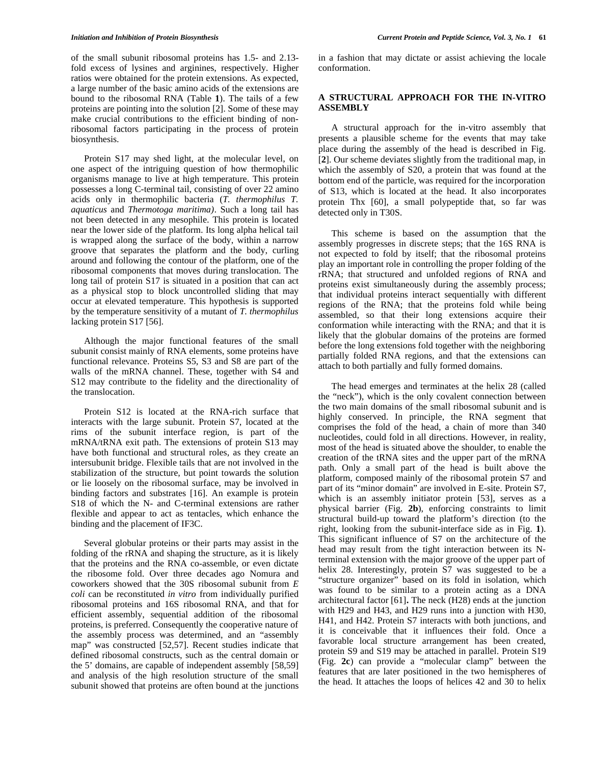of the small subunit ribosomal proteins has 1.5- and 2.13 fold excess of lysines and arginines, respectively. Higher ratios were obtained for the protein extensions. As expected, a large number of the basic amino acids of the extensions are bound to the ribosomal RNA (Table **1**). The tails of a few proteins are pointing into the solution [2]. Some of these may make crucial contributions to the efficient binding of nonribosomal factors participating in the process of protein biosynthesis.

Protein S17 may shed light, at the molecular level, on one aspect of the intriguing question of how thermophilic organisms manage to live at high temperature. This protein possesses a long C-terminal tail, consisting of over 22 amino acids only in thermophilic bacteria (*T. thermophilus T. aquaticus* and *Thermotoga maritima)*. Such a long tail has not been detected in any mesophile. This protein is located near the lower side of the platform. Its long alpha helical tail is wrapped along the surface of the body, within a narrow groove that separates the platform and the body, curling around and following the contour of the platform, one of the ribosomal components that moves during translocation. The long tail of protein S17 is situated in a position that can act as a physical stop to block uncontrolled sliding that may occur at elevated temperature. This hypothesis is supported by the temperature sensitivity of a mutant of *T. thermophilus* lacking protein S17 [56].

Although the major functional features of the small subunit consist mainly of RNA elements, some proteins have functional relevance. Proteins S5, S3 and S8 are part of the walls of the mRNA channel. These, together with S4 and S12 may contribute to the fidelity and the directionality of the translocation.

Protein S12 is located at the RNA-rich surface that interacts with the large subunit. Protein S7, located at the rims of the subunit interface region, is part of the mRNA/tRNA exit path. The extensions of protein S13 may have both functional and structural roles, as they create an intersubunit bridge. Flexible tails that are not involved in the stabilization of the structure, but point towards the solution or lie loosely on the ribosomal surface, may be involved in binding factors and substrates [16]. An example is protein S18 of which the N- and C-terminal extensions are rather flexible and appear to act as tentacles, which enhance the binding and the placement of IF3C.

Several globular proteins or their parts may assist in the folding of the rRNA and shaping the structure, as it is likely that the proteins and the RNA co-assemble, or even dictate the ribosome fold. Over three decades ago Nomura and coworkers showed that the 30S ribosomal subunit from *E coli* can be reconstituted *in vitro* from individually purified ribosomal proteins and 16S ribosomal RNA, and that for efficient assembly, sequential addition of the ribosomal proteins, is preferred. Consequently the cooperative nature of the assembly process was determined, and an "assembly map" was constructed [52,57]. Recent studies indicate that defined ribosomal constructs, such as the central domain or the 5' domains, are capable of independent assembly [58,59] and analysis of the high resolution structure of the small subunit showed that proteins are often bound at the junctions

in a fashion that may dictate or assist achieving the locale conformation.

#### **A STRUCTURAL APPROACH FOR THE IN-VITRO ASSEMBLY**

A structural approach for the in-vitro assembly that presents a plausible scheme for the events that may take place during the assembly of the head is described in Fig. [**2**]. Our scheme deviates slightly from the traditional map, in which the assembly of S20, a protein that was found at the bottom end of the particle, was required for the incorporation of S13, which is located at the head. It also incorporates protein Thx [60], a small polypeptide that, so far was detected only in T30S.

This scheme is based on the assumption that the assembly progresses in discrete steps; that the 16S RNA is not expected to fold by itself; that the ribosomal proteins play an important role in controlling the proper folding of the rRNA; that structured and unfolded regions of RNA and proteins exist simultaneously during the assembly process; that individual proteins interact sequentially with different regions of the RNA; that the proteins fold while being assembled, so that their long extensions acquire their conformation while interacting with the RNA; and that it is likely that the globular domains of the proteins are formed before the long extensions fold together with the neighboring partially folded RNA regions, and that the extensions can attach to both partially and fully formed domains.

The head emerges and terminates at the helix 28 (called the "neck"), which is the only covalent connection between the two main domains of the small ribosomal subunit and is highly conserved. In principle, the RNA segment that comprises the fold of the head, a chain of more than 340 nucleotides, could fold in all directions. However, in reality, most of the head is situated above the shoulder, to enable the creation of the tRNA sites and the upper part of the mRNA path. Only a small part of the head is built above the platform, composed mainly of the ribosomal protein S7 and part of its "minor domain" are involved in E-site. Protein S7, which is an assembly initiator protein [53], serves as a physical barrier (Fig. **2b**), enforcing constraints to limit structural build-up toward the platform's direction (to the right, looking from the subunit-interface side as in Fig. **1**). This significant influence of S7 on the architecture of the head may result from the tight interaction between its Nterminal extension with the major groove of the upper part of helix 28. Interestingly, protein S7 was suggested to be a "structure organizer" based on its fold in isolation, which was found to be similar to a protein acting as a DNA architectural factor [61]**.** The neck (H28) ends at the junction with H29 and H43, and H29 runs into a junction with H30, H41, and H42. Protein S7 interacts with both junctions, and it is conceivable that it influences their fold. Once a favorable local structure arrangement has been created, protein S9 and S19 may be attached in parallel. Protein S19 (Fig. **2c**) can provide a "molecular clamp" between the features that are later positioned in the two hemispheres of the head. It attaches the loops of helices 42 and 30 to helix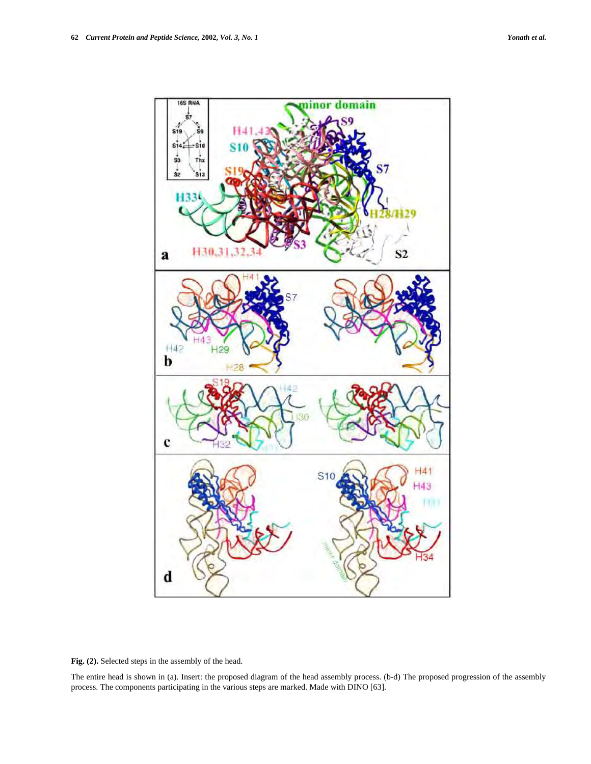

**Fig. (2).** Selected steps in the assembly of the head.

The entire head is shown in (a). Insert: the proposed diagram of the head assembly process. (b-d) The proposed progression of the assembly process. The components participating in the various steps are marked. Made with DINO [63].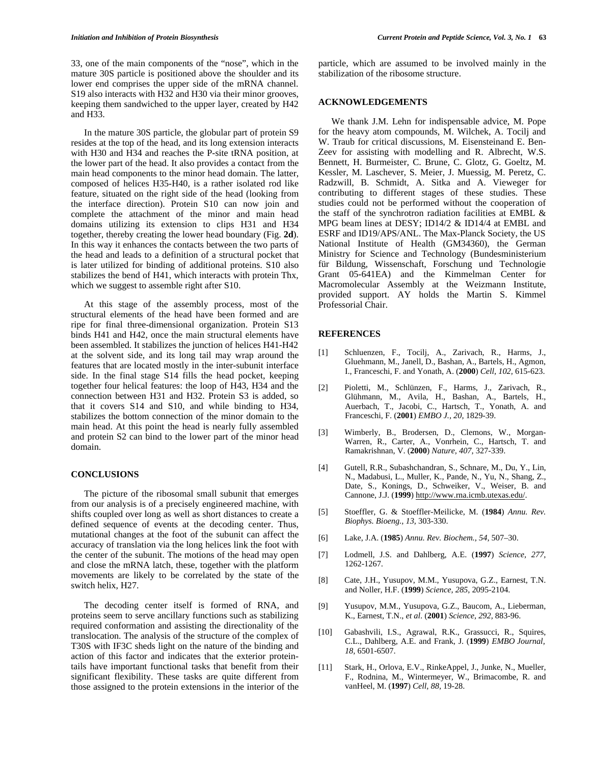33, one of the main components of the "nose", which in the mature 30S particle is positioned above the shoulder and its lower end comprises the upper side of the mRNA channel. S19 also interacts with H32 and H30 via their minor grooves, keeping them sandwiched to the upper layer, created by H42 and H33.

In the mature 30S particle, the globular part of protein S9 resides at the top of the head, and its long extension interacts with H30 and H34 and reaches the P-site tRNA position, at the lower part of the head. It also provides a contact from the main head components to the minor head domain. The latter, composed of helices H35-H40, is a rather isolated rod like feature, situated on the right side of the head (looking from the interface direction). Protein S10 can now join and complete the attachment of the minor and main head domains utilizing its extension to clips H31 and H34 together, thereby creating the lower head boundary (Fig. **2d**). In this way it enhances the contacts between the two parts of the head and leads to a definition of a structural pocket that is later utilized for binding of additional proteins. S10 also stabilizes the bend of H41, which interacts with protein Thx, which we suggest to assemble right after S10.

At this stage of the assembly process, most of the structural elements of the head have been formed and are ripe for final three-dimensional organization. Protein S13 binds H41 and H42, once the main structural elements have been assembled. It stabilizes the junction of helices H41-H42 at the solvent side, and its long tail may wrap around the features that are located mostly in the inter-subunit interface side. In the final stage S14 fills the head pocket, keeping together four helical features: the loop of H43, H34 and the connection between H31 and H32. Protein S3 is added, so that it covers S14 and S10, and while binding to H34, stabilizes the bottom connection of the minor domain to the main head. At this point the head is nearly fully assembled and protein S2 can bind to the lower part of the minor head domain.

#### **CONCLUSIONS**

The picture of the ribosomal small subunit that emerges from our analysis is of a precisely engineered machine, with shifts coupled over long as well as short distances to create a defined sequence of events at the decoding center. Thus, mutational changes at the foot of the subunit can affect the accuracy of translation via the long helices link the foot with the center of the subunit. The motions of the head may open and close the mRNA latch, these, together with the platform movements are likely to be correlated by the state of the switch helix, H27.

The decoding center itself is formed of RNA, and proteins seem to serve ancillary functions such as stabilizing required conformation and assisting the directionality of the translocation. The analysis of the structure of the complex of T30S with IF3C sheds light on the nature of the binding and action of this factor and indicates that the exterior proteintails have important functional tasks that benefit from their significant flexibility. These tasks are quite different from those assigned to the protein extensions in the interior of the particle, which are assumed to be involved mainly in the stabilization of the ribosome structure.

#### **ACKNOWLEDGEMENTS**

We thank J.M. Lehn for indispensable advice, M. Pope for the heavy atom compounds, M. Wilchek, A. Tocilj and W. Traub for critical discussions, M. Eisensteinand E. Ben-Zeev for assisting with modelling and R. Albrecht, W.S. Bennett, H. Burmeister, C. Brune, C. Glotz, G. Goeltz, M. Kessler, M. Laschever, S. Meier, J. Muessig, M. Peretz, C. Radzwill, B. Schmidt, A. Sitka and A. Vieweger for contributing to different stages of these studies. These studies could not be performed without the cooperation of the staff of the synchrotron radiation facilities at EMBL & MPG beam lines at DESY; ID14/2 & ID14/4 at EMBL and ESRF and ID19/APS/ANL. The Max-Planck Society, the US National Institute of Health (GM34360), the German Ministry for Science and Technology (Bundesministerium für Bildung, Wissenschaft, Forschung und Technologie Grant 05-641EA) and the Kimmelman Center for Macromolecular Assembly at the Weizmann Institute, provided support. AY holds the Martin S. Kimmel Professorial Chair.

# **REFERENCES**

- [1] Schluenzen, F., Tocilj, A., Zarivach, R., Harms, J., Gluehmann, M., Janell, D., Bashan, A., Bartels, H., Agmon, I., Franceschi, F. and Yonath, A. (**2000**) *Cell, 102,* 615-623.
- [2] Pioletti, M., Schlünzen, F., Harms, J., Zarivach, R., Glühmann, M., Avila, H., Bashan, A., Bartels, H., Auerbach, T., Jacobi, C., Hartsch, T., Yonath, A. and Franceschi, F. (**2001**) *EMBO J., 20,* 1829-39.
- [3] Wimberly, B., Brodersen, D., Clemons, W., Morgan-Warren, R., Carter, A., Vonrhein, C., Hartsch, T. and Ramakrishnan, V. (**2000**) *Nature, 407,* 327-339.
- [4] Gutell, R.R., Subashchandran, S., Schnare, M., Du, Y., Lin, N., Madabusi, L., Muller, K., Pande, N., Yu, N., Shang, Z., Date, S., Konings, D., Schweiker, V., Weiser, B. and Cannone, J.J. (**1999**) http://www.rna.icmb.utexas.edu/.
- [5] Stoeffler, G. & Stoeffler-Meilicke, M. (**1984**) *Annu. Rev. Biophys. Bioeng., 13,* 303-330.
- [6] Lake, J.A. (**1985**) *Annu. Rev. Biochem., 54,* 507–30.
- [7] Lodmell, J.S. and Dahlberg, A.E. (**1997**) *Science, 277,* 1262-1267.
- [8] Cate, J.H., Yusupov, M.M., Yusupova, G.Z., Earnest, T.N. and Noller, H.F. (**1999**) *Science, 285,* 2095-2104.
- [9] Yusupov, M.M., Yusupova, G.Z., Baucom, A., Lieberman, K., Earnest, T.N., *et al*. (**2001**) *Science, 292,* 883-96.
- [10] Gabashvili, I.S., Agrawal, R.K., Grassucci, R., Squires, C.L., Dahlberg, A.E. and Frank, J. (**1999**) *EMBO Journal, 18,* 6501-6507.
- [11] Stark, H., Orlova, E.V., RinkeAppel, J., Junke, N., Mueller, F., Rodnina, M., Wintermeyer, W., Brimacombe, R. and vanHeel, M. (**1997**) *Cell, 88,* 19-28.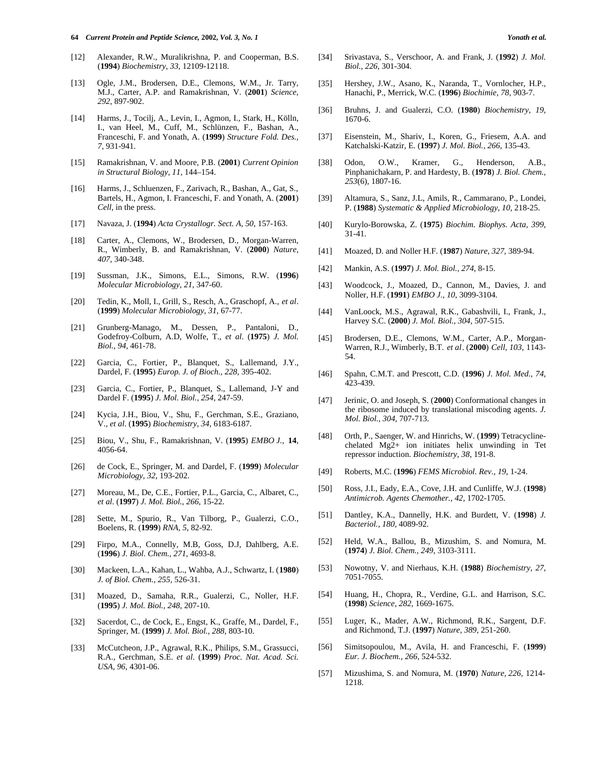- [12] Alexander, R.W., Muralikrishna, P. and Cooperman, B.S. (**1994**) *Biochemistry, 33,* 12109-12118.
- [13] Ogle, J.M., Brodersen, D.E., Clemons, W.M., Jr. Tarry, M.J., Carter, A.P. and Ramakrishnan, V. (**2001**) *Science, 292,* 897-902.
- [14] Harms, J., Tocilj, A., Levin, I., Agmon, I., Stark, H., Kölln, I., van Heel, M., Cuff, M., Schlünzen, F., Bashan, A., Franceschi, F. and Yonath, A. (**1999**) *Structure Fold. Des., 7,* 931-941.
- [15] Ramakrishnan, V. and Moore, P.B. (**2001**) *Current Opinion in Structural Biology, 11,* 144–154.
- [16] Harms, J., Schluenzen, F., Zarivach, R., Bashan, A., Gat, S., Bartels, H., Agmon, I. Franceschi, F. and Yonath, A. (**2001**) *Cell,* in the press.
- [17] Navaza, J. (**1994**) *Acta Crystallogr. Sect. A, 50,* 157-163.
- [18] Carter, A., Clemons, W., Brodersen, D., Morgan-Warren, R., Wimberly, B. and Ramakrishnan, V. (**2000**) *Nature, 407,* 340-348.
- [19] Sussman, J.K., Simons, E.L., Simons, R.W. (**1996**) *Molecular Microbiology, 21,* 347-60.
- [20] Tedin, K., Moll, I., Grill, S., Resch, A., Graschopf, A., *et al*. (**1999**) *Molecular Microbiology, 31,* 67-77.
- [21] Grunberg-Manago, M., Dessen, P., Pantaloni, D., Godefroy-Colburn, A.D, Wolfe, T., *et al*. (**1975**) *J. Mol. Biol., 94,* 461-78.
- [22] Garcia, C., Fortier, P., Blanquet, S., Lallemand, J.Y., Dardel, F. (**1995**) *Europ. J. of Bioch., 228,* 395-402.
- [23] Garcia, C., Fortier, P., Blanquet, S., Lallemand, J-Y and Dardel F. (**1995**) *J. Mol. Biol., 254,* 247-59.
- [24] Kycia, J.H., Biou, V., Shu, F., Gerchman, S.E., Graziano, V., *et al*. (**1995**) *Biochemistry, 34*, 6183-6187.
- [25] Biou, V., Shu, F., Ramakrishnan, V. (**1995**) *EMBO J.,* **14**, 4056-64.
- [26] de Cock, E., Springer, M. and Dardel, F. (**1999**) *Molecular Microbiology, 32,* 193-202.
- [27] Moreau, M., De, C.E., Fortier, P.L., Garcia, C., Albaret, C., *et al*. (**1997**) *J. Mol. Biol., 266,* 15-22.
- [28] Sette, M., Spurio, R., Van Tilborg, P., Gualerzi, C.O., Boelens, R. (**1999**) *RNA, 5,* 82-92.
- [29] Firpo, M.A., Connelly, M.B, Goss, D.J, Dahlberg, A.E. (**1996**) *J. Biol. Chem., 271,* 4693-8.
- [30] Mackeen, L.A., Kahan, L., Wahba, A.J., Schwartz, I. (**1980**) *J. of Biol. Chem., 255,* 526-31.
- [31] Moazed, D., Samaha, R.R., Gualerzi, C., Noller, H.F. (**1995**) *J. Mol. Biol., 248,* 207-10.
- [32] Sacerdot, C., de Cock, E., Engst, K., Graffe, M., Dardel, F., Springer, M. (**1999**) *J. Mol. Biol., 288,* 803-10.
- [33] McCutcheon, J.P., Agrawal, R.K., Philips, S.M., Grassucci, R.A., Gerchman, S.E. *et al*. (**1999**) *Proc. Nat. Acad. Sci. USA, 96,* 4301-06.
- [34] Srivastava, S., Verschoor, A. and Frank, J. (**1992**) *J. Mol. Biol., 226,* 301-304.
- [35] Hershey, J.W., Asano, K., Naranda, T., Vornlocher, H.P., Hanachi, P., Merrick, W.C. (**1996**) *Biochimie, 78,* 903-7.
- [36] Bruhns, J. and Gualerzi, C.O. (**1980**) *Biochemistry, 19,* 1670-6.
- [37] Eisenstein, M., Shariv, I., Koren, G., Friesem, A.A. and Katchalski-Katzir, E. (**1997**) *J. Mol. Biol., 266,* 135-43.
- [38] Odon, O.W., Kramer, G., Henderson, A.B., Pinphanichakarn, P. and Hardesty, B. (**1978**) *J. Biol. Chem., 253*(6)*,* 1807-16.
- [39] Altamura, S., Sanz, J.L, Amils, R., Cammarano, P., Londei, P. (**1988**) *Systematic & Applied Microbiology, 10,* 218-25.
- [40] Kurylo-Borowska, Z. (**1975**) *Biochim. Biophys. Acta, 399,* 31-41.
- [41] Moazed, D. and Noller H.F. (**1987**) *Nature, 327,* 389-94.
- [42] Mankin, A.S. (**1997**) *J. Mol. Biol., 274,* 8-15.
- [43] Woodcock, J., Moazed, D., Cannon, M., Davies, J. and Noller, H.F. (**1991**) *EMBO J., 10,* 3099-3104.
- [44] VanLoock, M.S., Agrawal, R.K., Gabashvili, I., Frank, J., Harvey S.C. (**2000**) *J. Mol. Biol., 304,* 507-515.
- [45] Brodersen, D.E., Clemons, W.M., Carter, A.P., Morgan-Warren, R.J., Wimberly, B.T. *et al*. (**2000**) *Cell, 103,* 1143- 54.
- [46] Spahn, C.M.T. and Prescott, C.D. (**1996**) *J. Mol. Med., 74,* 423-439.
- [47] Jerinic, O. and Joseph, S. (**2000**) Conformational changes in the ribosome induced by translational miscoding agents. *J. Mol. Biol., 304,* 707-713.
- [48] Orth, P., Saenger, W. and Hinrichs, W. (**1999**) Tetracyclinechelated Mg2+ ion initiates helix unwinding in Tet repressor induction. *Biochemistry, 38*, 191-8.
- [49] Roberts, M.C. (**1996**) *FEMS Microbiol. Rev., 19,* 1-24.
- [50] Ross, J.I., Eady, E.A., Cove, J.H. and Cunliffe, W.J. (**1998**) *Antimicrob. Agents Chemother., 42,* 1702-1705.
- [51] Dantley, K.A., Dannelly, H.K. and Burdett, V. (**1998**) *J. Bacteriol., 180,* 4089-92.
- [52] Held, W.A., Ballou, B., Mizushim, S. and Nomura, M. (**1974**) *J. Biol. Chem., 249,* 3103-3111.
- [53] Nowotny, V. and Nierhaus, K.H. (**1988**) *Biochemistry, 27*, 7051-7055.
- [54] Huang, H., Chopra, R., Verdine, G.L. and Harrison, S.C. (**1998**) *Science, 282,* 1669-1675.
- [55] Luger, K., Mader, A.W., Richmond, R.K., Sargent, D.F. and Richmond, T.J. (**1997**) *Nature, 389,* 251-260.
- [56] Simitsopoulou, M., Avila, H. and Franceschi, F. (**1999**) *Eur. J. Biochem., 266,* 524-532.
- [57] Mizushima, S. and Nomura, M. (**1970**) *Nature, 226,* 1214- 1218.